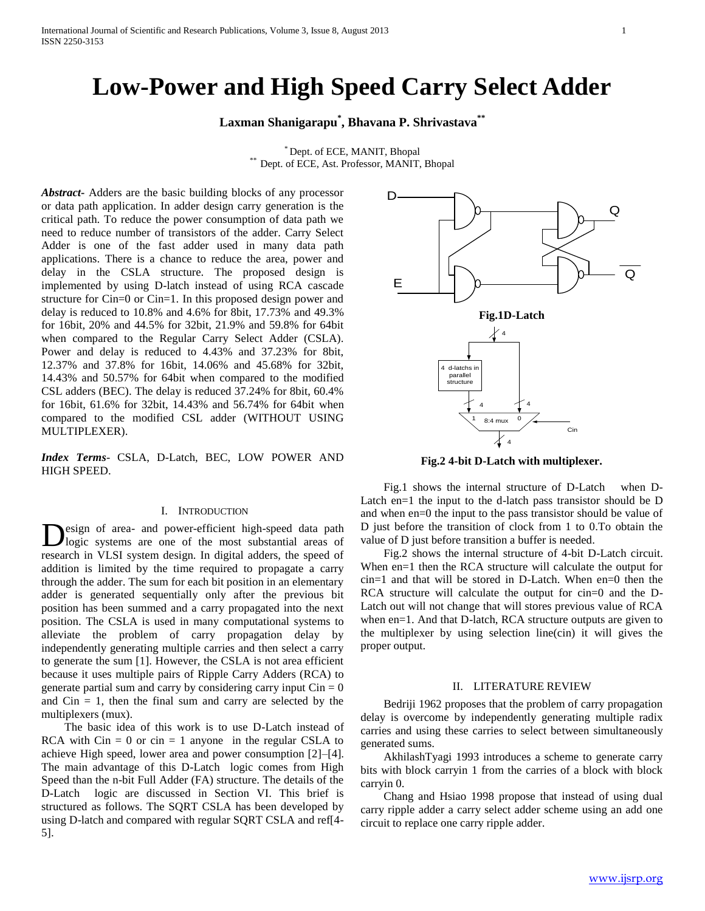# **Low-Power and High Speed Carry Select Adder**

**Laxman Shanigarapu\* , Bhavana P. Shrivastava\*\***

\* Dept. of ECE, MANIT, Bhopal \*\* Dept. of ECE, Ast. Professor, MANIT, Bhopal

*Abstract***-** Adders are the basic building blocks of any processor or data path application. In adder design carry generation is the critical path. To reduce the power consumption of data path we need to reduce number of transistors of the adder. Carry Select Adder is one of the fast adder used in many data path applications. There is a chance to reduce the area, power and delay in the CSLA structure. The proposed design is implemented by using D-latch instead of using RCA cascade structure for Cin=0 or Cin=1. In this proposed design power and delay is reduced to 10.8% and 4.6% for 8bit, 17.73% and 49.3% for 16bit, 20% and 44.5% for 32bit, 21.9% and 59.8% for 64bit when compared to the Regular Carry Select Adder (CSLA). Power and delay is reduced to 4.43% and 37.23% for 8bit, 12.37% and 37.8% for 16bit, 14.06% and 45.68% for 32bit, 14.43% and 50.57% for 64bit when compared to the modified CSL adders (BEC). The delay is reduced 37.24% for 8bit, 60.4% for 16bit, 61.6% for 32bit, 14.43% and 56.74% for 64bit when compared to the modified CSL adder (WITHOUT USING MULTIPLEXER).

*Index Terms*- CSLA, D-Latch, BEC, LOW POWER AND HIGH SPEED.

#### I. INTRODUCTION

esign of area- and power-efficient high-speed data path logic systems are one of the most substantial areas of research in VLSI system design. In digital adders, the speed of addition is limited by the time required to propagate a carry through the adder. The sum for each bit position in an elementary adder is generated sequentially only after the previous bit position has been summed and a carry propagated into the next position. The CSLA is used in many computational systems to alleviate the problem of carry propagation delay by independently generating multiple carries and then select a carry to generate the sum [1]. However, the CSLA is not area efficient because it uses multiple pairs of Ripple Carry Adders (RCA) to generate partial sum and carry by considering carry input  $\text{C}$ in = 0 and  $C$ in  $= 1$ , then the final sum and carry are selected by the multiplexers (mux). D

 The basic idea of this work is to use D-Latch instead of RCA with  $C\text{in} = 0$  or  $\text{cin} = 1$  anyone in the regular CSLA to achieve High speed, lower area and power consumption [2]–[4]. The main advantage of this D-Latch logic comes from High Speed than the n-bit Full Adder (FA) structure. The details of the D-Latch logic are discussed in Section VI. This brief is structured as follows. The SQRT CSLA has been developed by using D-latch and compared with regular SQRT CSLA and ref[4- 5].



**Fig.2 4-bit D-Latch with multiplexer.**

 Fig.1 shows the internal structure of D-Latch when D-Latch en=1 the input to the d-latch pass transistor should be D and when en=0 the input to the pass transistor should be value of D just before the transition of clock from 1 to 0.To obtain the value of D just before transition a buffer is needed.

 Fig.2 shows the internal structure of 4-bit D-Latch circuit. When en=1 then the RCA structure will calculate the output for cin=1 and that will be stored in D-Latch. When en=0 then the RCA structure will calculate the output for cin=0 and the D-Latch out will not change that will stores previous value of RCA when en=1. And that D-latch, RCA structure outputs are given to the multiplexer by using selection line(cin) it will gives the proper output.

#### II. LITERATURE REVIEW

 Bedriji 1962 proposes that the problem of carry propagation delay is overcome by independently generating multiple radix carries and using these carries to select between simultaneously generated sums.

 AkhilashTyagi 1993 introduces a scheme to generate carry bits with block carryin 1 from the carries of a block with block carryin 0.

 Chang and Hsiao 1998 propose that instead of using dual carry ripple adder a carry select adder scheme using an add one circuit to replace one carry ripple adder.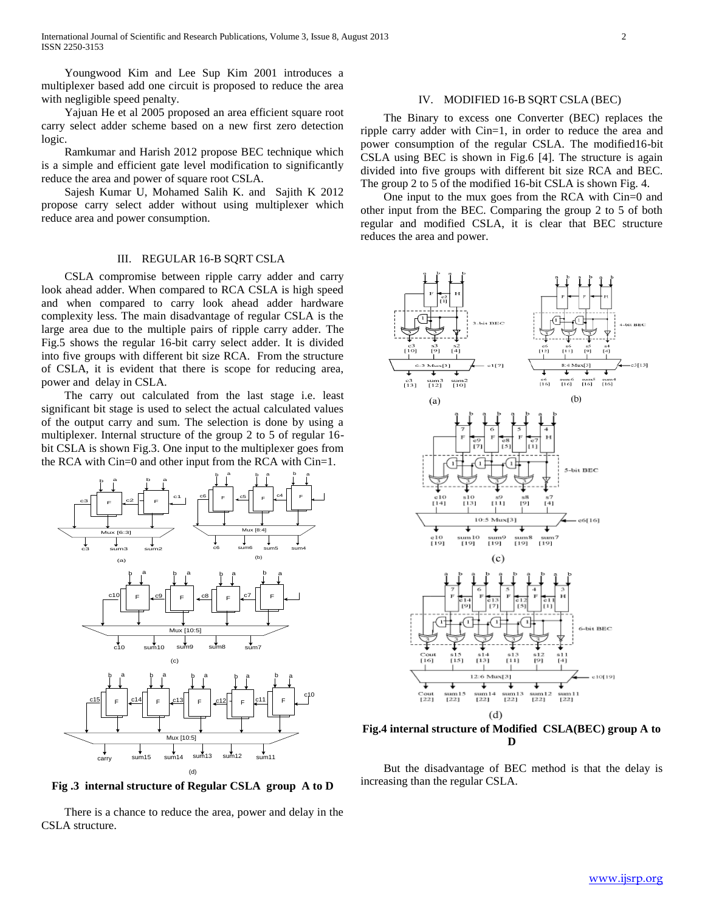Youngwood Kim and Lee Sup Kim 2001 introduces a multiplexer based add one circuit is proposed to reduce the area with negligible speed penalty.

 Yajuan He et al 2005 proposed an area efficient square root carry select adder scheme based on a new first zero detection logic.

 Ramkumar and Harish 2012 propose BEC technique which is a simple and efficient gate level modification to significantly reduce the area and power of square root CSLA.

 Sajesh Kumar U, Mohamed Salih K. and Sajith K 2012 propose carry select adder without using multiplexer which reduce area and power consumption.

### III. REGULAR 16-B SQRT CSLA

 CSLA compromise between ripple carry adder and carry look ahead adder. When compared to RCA CSLA is high speed and when compared to carry look ahead adder hardware complexity less. The main disadvantage of regular CSLA is the large area due to the multiple pairs of ripple carry adder. The Fig.5 shows the regular 16-bit carry select adder. It is divided into five groups with different bit size RCA. From the structure of CSLA, it is evident that there is scope for reducing area, power and delay in CSLA.

 The carry out calculated from the last stage i.e. least significant bit stage is used to select the actual calculated values of the output carry and sum. The selection is done by using a multiplexer. Internal structure of the group 2 to 5 of regular 16 bit CSLA is shown Fig.3. One input to the multiplexer goes from the RCA with Cin=0 and other input from the RCA with Cin=1.



**Fig .3 internal structure of Regular CSLA group A to D**

 There is a chance to reduce the area, power and delay in the CSLA structure.

#### IV. MODIFIED 16-B SQRT CSLA (BEC)

 The Binary to excess one Converter (BEC) replaces the ripple carry adder with Cin=1, in order to reduce the area and power consumption of the regular CSLA. The modified16-bit CSLA using BEC is shown in Fig.6 [4]. The structure is again divided into five groups with different bit size RCA and BEC. The group 2 to 5 of the modified 16-bit CSLA is shown Fig. 4.

 One input to the mux goes from the RCA with Cin=0 and other input from the BEC. Comparing the group 2 to 5 of both regular and modified CSLA, it is clear that BEC structure reduces the area and power.



**Fig.4 internal structure of Modified CSLA(BEC) group A to D**

 But the disadvantage of BEC method is that the delay is increasing than the regular CSLA.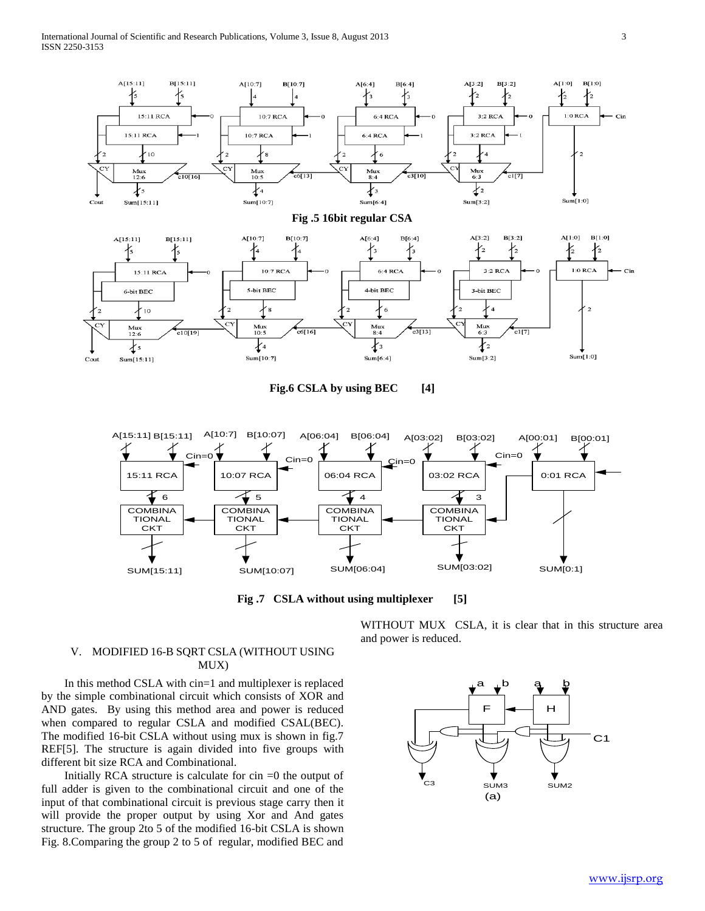

Fig.6 CSLA by using BEC [4]



**Fig .7 CSLA without using multiplexer [5]**

WITHOUT MUX CSLA, it is clear that in this structure area and power is reduced.

# V. MODIFIED 16-B SQRT CSLA (WITHOUT USING MUX)

 In this method CSLA with cin=1 and multiplexer is replaced by the simple combinational circuit which consists of XOR and AND gates. By using this method area and power is reduced when compared to regular CSLA and modified CSAL(BEC). The modified 16-bit CSLA without using mux is shown in fig.7 REF[5]. The structure is again divided into five groups with different bit size RCA and Combinational.

Initially RCA structure is calculate for  $\sin =0$  the output of full adder is given to the combinational circuit and one of the input of that combinational circuit is previous stage carry then it will provide the proper output by using Xor and And gates structure. The group 2to 5 of the modified 16-bit CSLA is shown Fig. 8.Comparing the group 2 to 5 of regular, modified BEC and

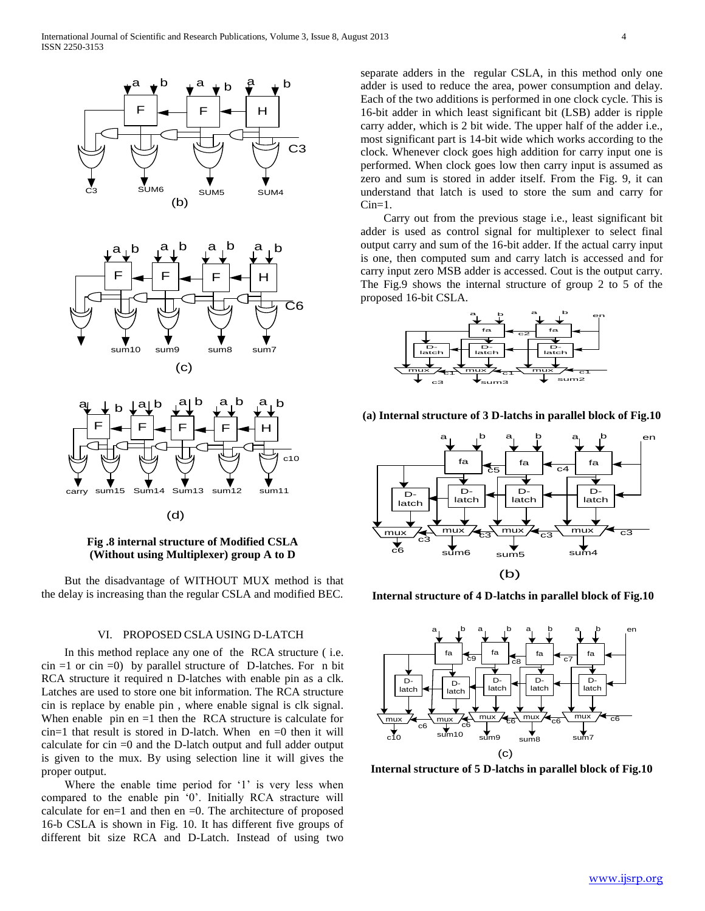

**Fig .8 internal structure of Modified CSLA (Without using Multiplexer) group A to D**

 But the disadvantage of WITHOUT MUX method is that the delay is increasing than the regular CSLA and modified BEC.

#### VI. PROPOSED CSLA USING D-LATCH

 In this method replace any one of the RCA structure ( i.e.  $\sin =1$  or  $\sin =0$ ) by parallel structure of D-latches. For n bit RCA structure it required n D-latches with enable pin as a clk. Latches are used to store one bit information. The RCA structure cin is replace by enable pin , where enable signal is clk signal. When enable  $pin$  en  $=1$  then the RCA structure is calculate for  $cin=1$  that result is stored in D-latch. When en  $=0$  then it will calculate for cin =0 and the D-latch output and full adder output is given to the mux. By using selection line it will gives the proper output.

Where the enable time period for '1' is very less when compared to the enable pin '0'. Initially RCA stracture will calculate for en=1 and then en =0. The architecture of proposed 16-b CSLA is shown in Fig. 10. It has different five groups of different bit size RCA and D-Latch. Instead of using two

separate adders in the regular CSLA, in this method only one adder is used to reduce the area, power consumption and delay. Each of the two additions is performed in one clock cycle. This is 16-bit adder in which least significant bit (LSB) adder is ripple carry adder, which is 2 bit wide. The upper half of the adder i.e., most significant part is 14-bit wide which works according to the clock. Whenever clock goes high addition for carry input one is performed. When clock goes low then carry input is assumed as zero and sum is stored in adder itself. From the Fig. 9, it can understand that latch is used to store the sum and carry for  $Cin=1$ .

 Carry out from the previous stage i.e., least significant bit adder is used as control signal for multiplexer to select final output carry and sum of the 16-bit adder. If the actual carry input is one, then computed sum and carry latch is accessed and for carry input zero MSB adder is accessed. Cout is the output carry. The Fig.9 shows the internal structure of group 2 to 5 of the proposed 16-bit CSLA.



**(a) Internal structure of 3 D-latchs in parallel block of Fig.10**



**Internal structure of 4 D-latchs in parallel block of Fig.10**



**Internal structure of 5 D-latchs in parallel block of Fig.10**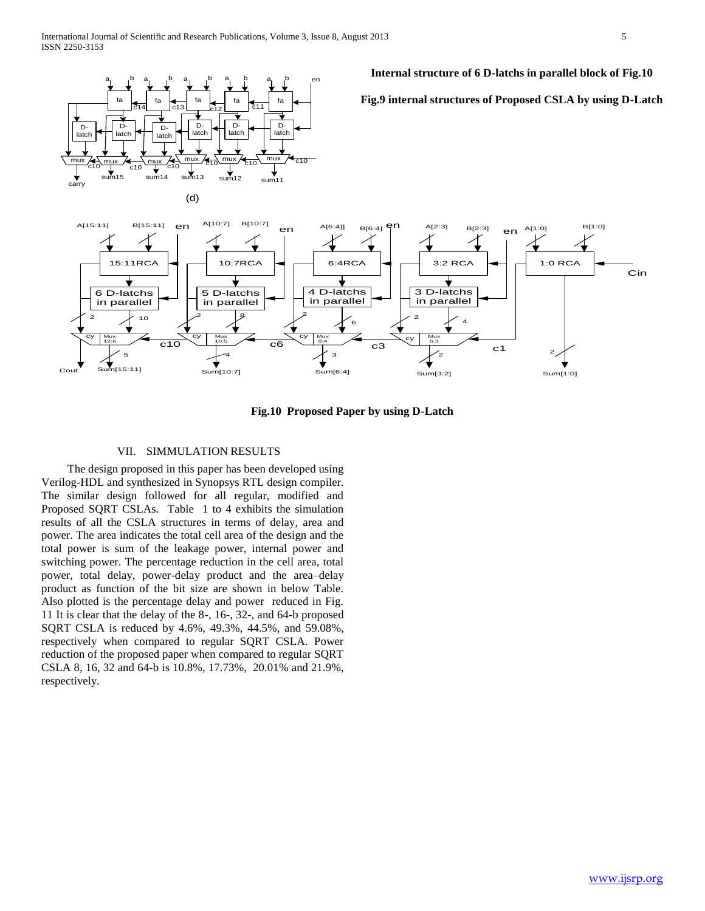



# **Fig.10 Proposed Paper by using D-Latch**

# VII. SIMMULATION RESULTS

 The design proposed in this paper has been developed using Verilog-HDL and synthesized in Synopsys RTL design compiler. The similar design followed for all regular, modified and Proposed SQRT CSLAs. Table 1 to 4 exhibits the simulation results of all the CSLA structures in terms of delay, area and power. The area indicates the total cell area of the design and the total power is sum of the leakage power, internal power and switching power. The percentage reduction in the cell area, total power, total delay, power-delay product and the area–delay product as function of the bit size are shown in below Table. Also plotted is the percentage delay and power reduced in Fig. 11 It is clear that the delay of the 8-, 16-, 32-, and 64-b proposed SQRT CSLA is reduced by 4.6%, 49.3%, 44.5%, and 59.08%, respectively when compared to regular SQRT CSLA. Power reduction of the proposed paper when compared to regular SQRT CSLA 8, 16, 32 and 64-b is 10.8%, 17.73%, 20.01% and 21.9%, respectively.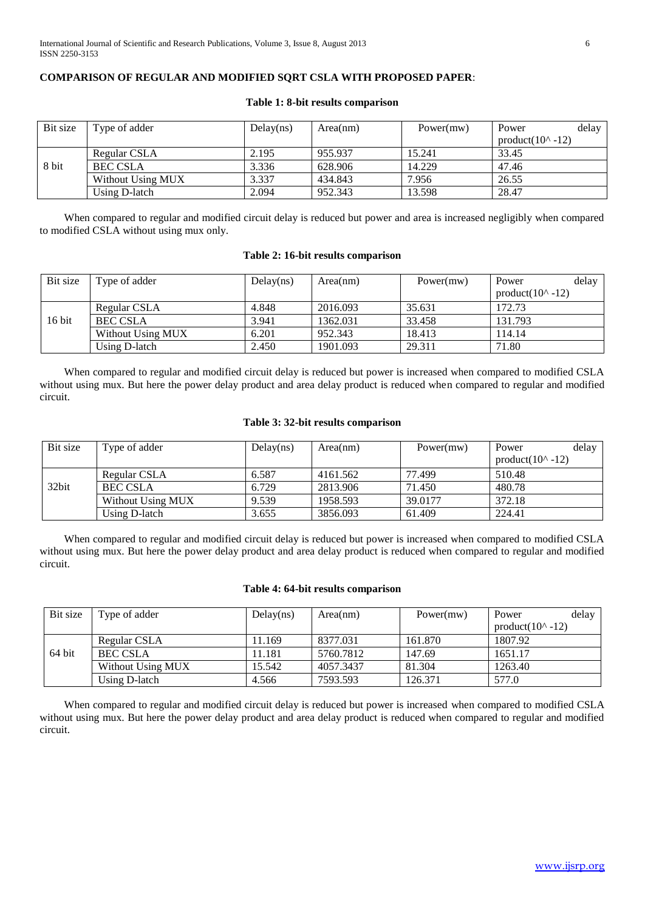# **COMPARISON OF REGULAR AND MODIFIED SQRT CSLA WITH PROPOSED PAPER**:

| Bit size | Type of adder     | Delay(ns) | Area(nm) | Power(mw) | Power                      | delay |
|----------|-------------------|-----------|----------|-----------|----------------------------|-------|
|          |                   |           |          |           | product( $10^{\circ}$ -12) |       |
|          | Regular CSLA      | 2.195     | 955.937  | 15.241    | 33.45                      |       |
| 8 bit    | <b>BEC CSLA</b>   | 3.336     | 628.906  | 14.229    | 47.46                      |       |
|          | Without Using MUX | 3.337     | 434.843  | 7.956     | 26.55                      |       |
|          | Using D-latch     | 2.094     | 952.343  | 13.598    | 28.47                      |       |

### **Table 1: 8-bit results comparison**

 When compared to regular and modified circuit delay is reduced but power and area is increased negligibly when compared to modified CSLA without using mux only.

# **Table 2: 16-bit results comparison**

| Bit size | Type of adder     | Delay(ns) | Area(nm) | Power(mw) | delay<br>Power             |
|----------|-------------------|-----------|----------|-----------|----------------------------|
|          |                   |           |          |           | product( $10^{\circ}$ -12) |
|          | Regular CSLA      | 4.848     | 2016.093 | 35.631    | 172.73                     |
| $16$ bit | <b>BEC CSLA</b>   | 3.941     | 1362.031 | 33.458    | 131.793                    |
|          | Without Using MUX | 6.201     | 952.343  | 18.413    | 114.14                     |
|          | Using D-latch     | 2.450     | 1901.093 | 29.311    | 71.80                      |

 When compared to regular and modified circuit delay is reduced but power is increased when compared to modified CSLA without using mux. But here the power delay product and area delay product is reduced when compared to regular and modified circuit.

# **Table 3: 32-bit results comparison**

| Bit size | Type of adder     | Delay(ns) | Area(nm) | Power(mw) | delay<br>Power             |
|----------|-------------------|-----------|----------|-----------|----------------------------|
|          |                   |           |          |           | product( $10^{\circ}$ -12) |
|          | Regular CSLA      | 6.587     | 4161.562 | 77.499    | 510.48                     |
| 32bit    | <b>BEC CSLA</b>   | 6.729     | 2813.906 | 71.450    | 480.78                     |
|          | Without Using MUX | 9.539     | 1958.593 | 39.0177   | 372.18                     |
|          | Using D-latch     | 3.655     | 3856.093 | 61.409    | 224.41                     |

 When compared to regular and modified circuit delay is reduced but power is increased when compared to modified CSLA without using mux. But here the power delay product and area delay product is reduced when compared to regular and modified circuit.

# **Table 4: 64-bit results comparison**

| Bit size | Type of adder     | Delay(ns) | Area(nm)  | Power(mw) | delay<br>Power             |
|----------|-------------------|-----------|-----------|-----------|----------------------------|
|          |                   |           |           |           | product( $10^{\circ}$ -12) |
|          | Regular CSLA      | 1.169     | 8377.031  | 161.870   | 1807.92                    |
| 64 bit   | <b>BEC CSLA</b>   | 11.181    | 5760.7812 | 147.69    | 1651.17                    |
|          | Without Using MUX | 15.542    | 4057.3437 | 81.304    | 1263.40                    |
|          | Using D-latch     | 4.566     | 7593.593  | 126.371   | 577.0                      |

 When compared to regular and modified circuit delay is reduced but power is increased when compared to modified CSLA without using mux. But here the power delay product and area delay product is reduced when compared to regular and modified circuit.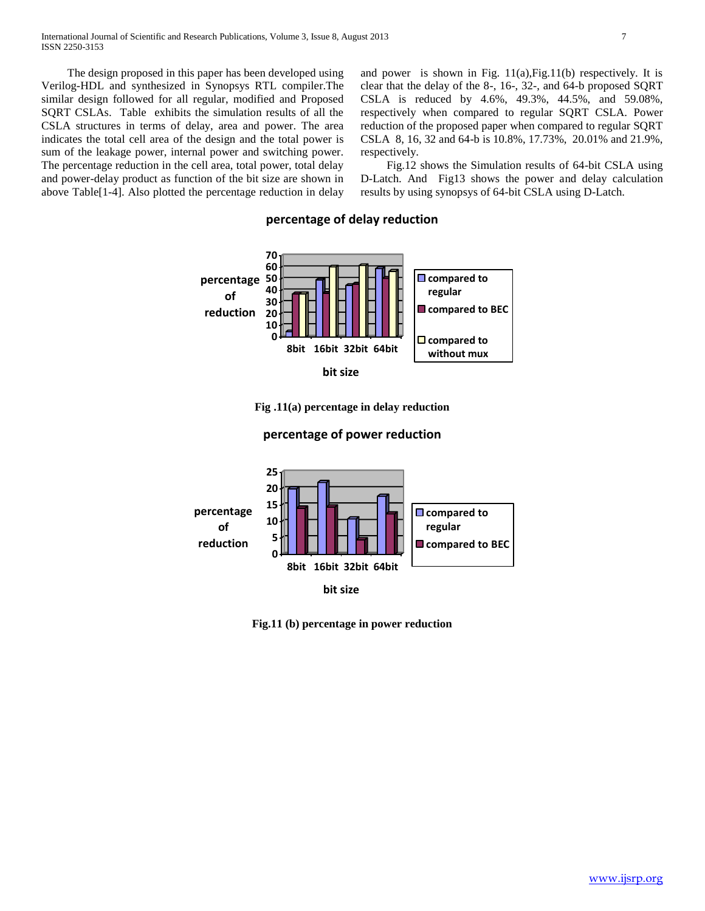The design proposed in this paper has been developed using Verilog-HDL and synthesized in Synopsys RTL compiler.The similar design followed for all regular, modified and Proposed SQRT CSLAs. Table exhibits the simulation results of all the CSLA structures in terms of delay, area and power. The area indicates the total cell area of the design and the total power is sum of the leakage power, internal power and switching power. The percentage reduction in the cell area, total power, total delay and power-delay product as function of the bit size are shown in above Table[1-4]. Also plotted the percentage reduction in delay and power is shown in Fig.  $11(a)$ , Fig.  $11(b)$  respectively. It is clear that the delay of the 8-, 16-, 32-, and 64-b proposed SQRT CSLA is reduced by 4.6%, 49.3%, 44.5%, and 59.08%, respectively when compared to regular SQRT CSLA. Power reduction of the proposed paper when compared to regular SQRT CSLA 8, 16, 32 and 64-b is 10.8%, 17.73%, 20.01% and 21.9%, respectively.

 Fig.12 shows the Simulation results of 64-bit CSLA using D-Latch. And Fig13 shows the power and delay calculation results by using synopsys of 64-bit CSLA using D-Latch.

# **percentage of delay reduction**



**Fig .11(a) percentage in delay reduction**

# **percentage of power reduction**



**Fig.11 (b) percentage in power reduction**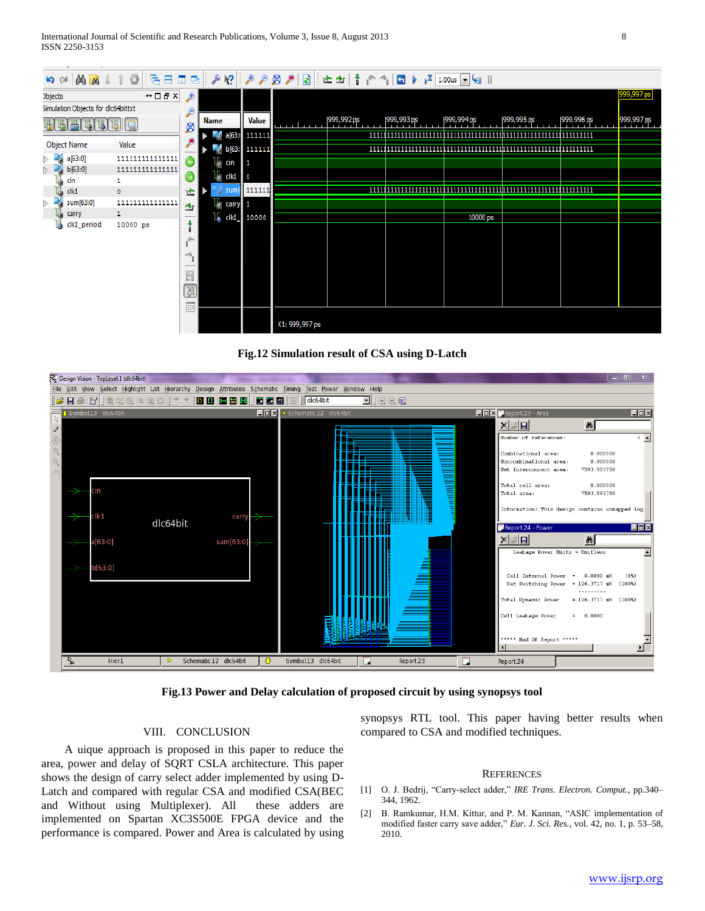| 10 8 日<br><b>西西</b><br>$\mathfrak{g} \circ \mathfrak{g}$<br>Ð<br>п |                                              |             |  |                               |                          | $  \mathcal{P} \setminus \mathcal{P}   \mathcal{P} \cap \mathcal{P}   \mathcal{P}   \geq   \mathcal{P}  $ ( $  \mathcal{P} \setminus \mathcal{P}  $ ) $  \mathcal{P} \setminus \mathcal{P}   \geq   \mathcal{P}  $ |            |            |            |            |            |            |  |
|--------------------------------------------------------------------|----------------------------------------------|-------------|--|-------------------------------|--------------------------|--------------------------------------------------------------------------------------------------------------------------------------------------------------------------------------------------------------------|------------|------------|------------|------------|------------|------------|--|
| <b>Objects</b>                                                     | $\leftrightarrow$ $\Box$ $\,\oplus$ $\times$ | $\bigoplus$ |  |                               |                          |                                                                                                                                                                                                                    |            |            |            |            |            | 999,997 ps |  |
| Simulation Objects for dlc64bittxt                                 |                                              |             |  |                               |                          |                                                                                                                                                                                                                    |            |            |            |            |            |            |  |
| 5 6<br>$\frac{1}{\log N}$<br>Щ<br>ø                                |                                              | <b>Name</b> |  | <b>Value</b>                  | $\frac{1}{2}$ 999,992 ps |                                                                                                                                                                                                                    | 999,993 ps | 999,994 ps | 999,995 ps | 999,996 ps | 999,997 ps |            |  |
|                                                                    |                                              |             |  |                               | 6a[639] 111111           |                                                                                                                                                                                                                    |            |            |            |            |            |            |  |
| Object Name                                                        | Value                                        |             |  | b(63)                         | 111111                   |                                                                                                                                                                                                                    |            |            |            |            |            |            |  |
| $\triangleright$ $\triangleright$<br>a[63:0]                       | 111111111111111                              |             |  | $\mathbb{U}_\mathbb{C}$ cin   | $\mathbf{1}$             |                                                                                                                                                                                                                    |            |            |            |            |            |            |  |
| > 26<br>b[63:0]                                                    | 1111111111111111                             |             |  | $\mathbb{R}$ dk1 $\mathbb{R}$ |                          |                                                                                                                                                                                                                    |            |            |            |            |            |            |  |
| cin                                                                |                                              |             |  | i sun                         | 111111                   |                                                                                                                                                                                                                    |            |            |            |            |            |            |  |
| clk1<br>łà                                                         | $\circ$                                      | 企           |  |                               |                          |                                                                                                                                                                                                                    |            |            |            |            |            |            |  |
| Pá<br>sum[63:0]<br>Þ.                                              | 1111111111111111                             | ±           |  | $\mathbb{U}$ carry 1          |                          |                                                                                                                                                                                                                    |            |            |            |            |            |            |  |
| 16<br>carry                                                        |                                              |             |  | $\mathbb{I}_{\mathsf{e}}$ dk1 | 10000                    |                                                                                                                                                                                                                    |            |            | 10000 ps   |            |            |            |  |
| La clk1_period                                                     | 10000 ps                                     |             |  |                               |                          |                                                                                                                                                                                                                    |            |            |            |            |            |            |  |
|                                                                    |                                              | G           |  |                               |                          |                                                                                                                                                                                                                    |            |            |            |            |            |            |  |
|                                                                    |                                              |             |  |                               |                          |                                                                                                                                                                                                                    |            |            |            |            |            |            |  |
|                                                                    |                                              |             |  |                               |                          |                                                                                                                                                                                                                    |            |            |            |            |            |            |  |
|                                                                    |                                              | 631         |  |                               |                          |                                                                                                                                                                                                                    |            |            |            |            |            |            |  |
|                                                                    |                                              |             |  |                               |                          |                                                                                                                                                                                                                    |            |            |            |            |            |            |  |
|                                                                    |                                              | M           |  |                               |                          |                                                                                                                                                                                                                    |            |            |            |            |            |            |  |
|                                                                    |                                              | m           |  |                               |                          |                                                                                                                                                                                                                    |            |            |            |            |            |            |  |
|                                                                    |                                              |             |  |                               |                          | X1: 999,997 ps                                                                                                                                                                                                     |            |            |            |            |            |            |  |





**Fig.13 Power and Delay calculation of proposed circuit by using synopsys tool**

#### VIII. CONCLUSION

 A uique approach is proposed in this paper to reduce the area, power and delay of SQRT CSLA architecture. This paper shows the design of carry select adder implemented by using D-Latch and compared with regular CSA and modified CSA(BEC and Without using Multiplexer). All these adders are implemented on Spartan XC3S500E FPGA device and the performance is compared. Power and Area is calculated by using synopsys RTL tool. This paper having better results when compared to CSA and modified techniques.

#### **REFERENCES**

- [1] O. J. Bedrij, "Carry-select adder," *IRE Trans. Electron. Comput.*, pp.340– 344, 1962.
- [2] B. Ramkumar, H.M. Kittur, and P. M. Kannan, "ASIC implementation of modified faster carry save adder," *Eur. J. Sci. Res.*, vol. 42, no. 1, p. 53–58, 2010.